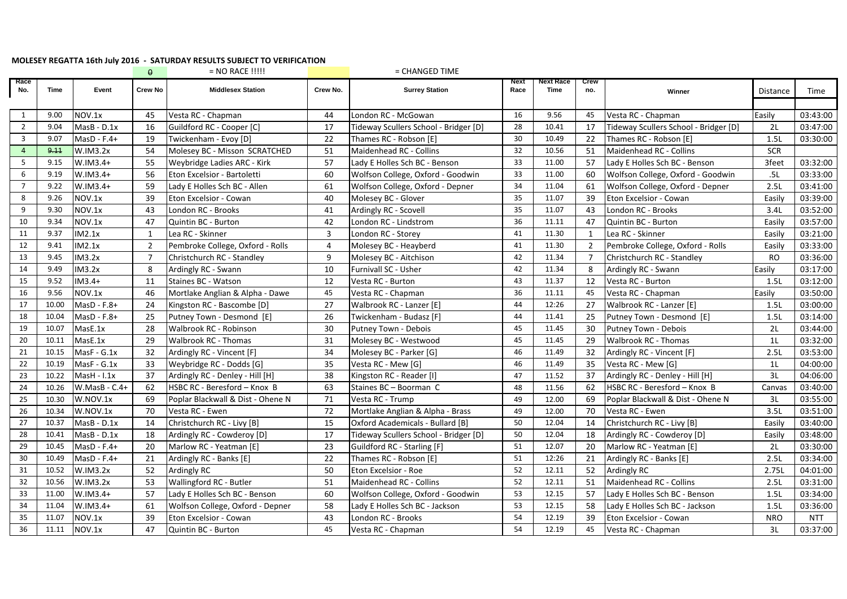## **MOLESEY REGATTA 16th July 2016 - SATURDAY RESULTS SUBJECT TO VERIFICATION**

|                |       |               | $\theta$       | $= NO$ RACE $\left  \right $       |          | = CHANGED TIME                        |              |                   |                |                                       |                |            |
|----------------|-------|---------------|----------------|------------------------------------|----------|---------------------------------------|--------------|-------------------|----------------|---------------------------------------|----------------|------------|
| касе<br>No.    | Time  | Event         | <b>Crew No</b> | <b>Middlesex Station</b>           | Crew No. | <b>Surrey Station</b>                 | Next<br>Race | Next Race<br>Time | Crew<br>no.    | Winner                                | Distance       | Time       |
|                |       |               |                |                                    |          |                                       |              |                   |                |                                       |                |            |
| 1              | 9.00  | NOV.1x        | 45             | Vesta RC - Chapman                 | 44       | London RC - McGowan                   | 16           | 9.56              | 45             | Vesta RC - Chapman                    | Easily         | 03:43:00   |
| $\overline{2}$ | 9.04  | $MasB - D.1x$ | 16             | Guildford RC - Cooper [C]          | 17       | Tideway Scullers School - Bridger [D] | 28           | 10.41             | 17             | Tideway Scullers School - Bridger [D] | 2L             | 03:47:00   |
| 3              | 9.07  | $MasD - F.4+$ | 19             | Twickenham - Evoy [D]              | 22       | Thames RC - Robson [E]                | 30           | 10.49             | 22             | Thames RC - Robson [E]                | 1.5L           | 03:30:00   |
| $\overline{4}$ | 9.11  | W.IM3.2x      | 54             | Molesey BC - Misson SCRATCHED      | 51       | <b>Maidenhead RC - Collins</b>        | 32           | 10.56             | 51             | Maidenhead RC - Collins               | <b>SCR</b>     |            |
| 5              | 9.15  | W.IM3.4+      | 55             | <b>Weybridge Ladies ARC - Kirk</b> | 57       | Lady E Holles Sch BC - Benson         | 33           | 11.00             | 57             | Lady E Holles Sch BC - Benson         | 3feet          | 03:32:00   |
| 6              | 9.19  | W.IM3.4+      | 56             | Eton Excelsior - Bartoletti        | 60       | Wolfson College, Oxford - Goodwin     | 33           | 11.00             | 60             | Wolfson College, Oxford - Goodwin     | .5L            | 03:33:00   |
| 7              | 9.22  | $W.IM3.4+$    | 59             | Lady E Holles Sch BC - Allen       | 61       | Wolfson College, Oxford - Depner      | 34           | 11.04             | 61             | Wolfson College, Oxford - Depner      | 2.5L           | 03:41:00   |
| 8              | 9.26  | NOV.1x        | 39             | Eton Excelsior - Cowan             | 40       | Molesey BC - Glover                   | 35           | 11.07             | 39             | Eton Excelsior - Cowan                | Easily         | 03:39:00   |
| 9              | 9.30  | NOV.1x        | 43             | London RC - Brooks                 | 41       | Ardingly RC - Scovell                 | 35           | 11.07             | 43             | London RC - Brooks                    | 3.4L           | 03:52:00   |
| 10             | 9.34  | NOV.1x        | 47             | Quintin BC - Burton                | 42       | London RC - Lindstrom                 | 36           | 11.11             | 47             | Quintin BC - Burton                   | Easily         | 03:57:00   |
| 11             | 9.37  | IM2.1x        | $\mathbf{1}$   | Lea RC - Skinner                   | 3        | London RC - Storey                    | 41           | 11.30             | $\mathbf{1}$   | Lea RC - Skinner                      | Easily         | 03:21:00   |
| 12             | 9.41  | IM2.1x        | $\overline{2}$ | Pembroke College, Oxford - Rolls   | 4        | Molesey BC - Heayberd                 | 41           | 11.30             | $\overline{2}$ | Pembroke College, Oxford - Rolls      | Easily         | 03:33:00   |
| 13             | 9.45  | IM3.2x        | 7              | Christchurch RC - Standley         | 9        | Molesey BC - Aitchison                | 42           | 11.34             | $\overline{7}$ | Christchurch RC - Standley            | <b>RO</b>      | 03:36:00   |
| 14             | 9.49  | IM3.2x        | 8              | Ardingly RC - Swann                | 10       | Furnivall SC - Usher                  | 42           | 11.34             | 8              | Ardingly RC - Swann                   | Easily         | 03:17:00   |
| 15             | 9.52  | $IM3.4+$      | 11             | Staines BC - Watson                | 12       | Vesta RC - Burton                     | 43           | 11.37             | 12             | Vesta RC - Burton                     | 1.5L           | 03:12:00   |
| 16             | 9.56  | NOV.1x        | 46             | Mortlake Anglian & Alpha - Dawe    | 45       | Vesta RC - Chapman                    | 36           | 11.11             | 45             | Vesta RC - Chapman                    | Easily         | 03:50:00   |
| 17             | 10.00 | MasD - F.8+   | 24             | Kingston RC - Bascombe [D]         | 27       | Walbrook RC - Lanzer [E]              | 44           | 12:26             | 27             | Walbrook RC - Lanzer [E]              | 1.5L           | 03:00:00   |
| 18             | 10.04 | MasD - F.8+   | 25             | Putney Town - Desmond [E]          | 26       | Twickenham - Budasz [F]               | 44           | 11.41             | 25             | Putney Town - Desmond [E]             | 1.5L           | 03:14:00   |
| 19             | 10.07 | MasE.1x       | 28             | Walbrook RC - Robinson             | 30       | Putney Town - Debois                  | 45           | 11.45             | 30             | Putney Town - Debois                  | 2L             | 03:44:00   |
| 20             | 10.11 | MasE.1x       | 29             | <b>Walbrook RC - Thomas</b>        | 31       | Molesey BC - Westwood                 | 45           | 11.45             | 29             | <b>Walbrook RC - Thomas</b>           | 1 <sub>L</sub> | 03:32:00   |
| 21             | 10.15 | MasF - G.1x   | 32             | Ardingly RC - Vincent [F]          | 34       | Molesey BC - Parker [G]               | 46           | 11.49             | 32             | Ardingly RC - Vincent [F]             | 2.5L           | 03:53:00   |
| 22             | 10.19 | MasF - G.1x   | 33             | Weybridge RC - Dodds [G]           | 35       | Vesta RC - Mew [G]                    | 46           | 11.49             | 35             | Vesta RC - Mew [G]                    | 1 <sub>L</sub> | 04:00:00   |
| 23             | 10.22 | $Mask - l.1x$ | 37             | Ardingly RC - Denley - Hill [H]    | 38       | Kingston RC - Reader [1]              | 47           | 11.52             | 37             | Ardingly RC - Denley - Hill [H]       | 3L             | 04:06:00   |
| 24             | 10.26 | W.MasB - C.4+ | 62             | HSBC RC - Beresford - Knox B       | 63       | Staines BC - Boorman C                | 48           | 11.56             | 62             | HSBC RC - Beresford - Knox B          | Canvas         | 03:40:00   |
| 25             | 10.30 | W.NOV.1x      | 69             | Poplar Blackwall & Dist - Ohene N  | 71       | Vesta RC - Trump                      | 49           | 12.00             | 69             | Poplar Blackwall & Dist - Ohene N     | 3L             | 03:55:00   |
| 26             | 10.34 | W.NOV.1x      | 70             | Vesta RC - Ewen                    | 72       | Mortlake Anglian & Alpha - Brass      | 49           | 12.00             | 70             | Vesta RC - Ewen                       | 3.5L           | 03:51:00   |
| 27             | 10.37 | MasB - D.1x   | 14             | Christchurch RC - Livy [B]         | 15       | Oxford Academicals - Bullard [B]      | 50           | 12.04             | 14             | Christchurch RC - Livy [B]            | Easily         | 03:40:00   |
| 28             | 10.41 | MasB - D.1x   | 18             | Ardingly RC - Cowderoy [D]         | 17       | Tideway Scullers School - Bridger [D] | 50           | 12.04             | 18             | Ardingly RC - Cowderoy [D]            | Easily         | 03:48:00   |
| 29             | 10.45 | $MasD - F.4+$ | 20             | Marlow RC - Yeatman [E]            | 23       | Guildford RC - Starling [F]           | 51           | 12.07             | 20             | Marlow RC - Yeatman [E]               | 2L             | 03:30:00   |
| 30             | 10.49 | $MasD - F.4+$ | 21             | Ardingly RC - Banks [E]            | 22       | Thames RC - Robson [E]                | 51           | 12:26             | 21             | Ardingly RC - Banks [E]               | 2.5L           | 03:34:00   |
| 31             | 10.52 | W.IM3.2x      | 52             | <b>Ardingly RC</b>                 | 50       | Eton Excelsior - Roe                  | 52           | 12.11             | 52             | <b>Ardingly RC</b>                    | 2.75L          | 04:01:00   |
| 32             | 10.56 | W.IM3.2x      | 53             | Wallingford RC - Butler            | 51       | Maidenhead RC - Collins               | 52           | 12.11             | 51             | Maidenhead RC - Collins               | 2.5L           | 03:31:00   |
| 33             | 11.00 | $W.IM3.4+$    | 57             | Lady E Holles Sch BC - Benson      | 60       | Wolfson College, Oxford - Goodwin     | 53           | 12.15             | 57             | Lady E Holles Sch BC - Benson         | 1.5L           | 03:34:00   |
| 34             | 11.04 | $W.IM3.4+$    | 61             | Wolfson College, Oxford - Depner   | 58       | Lady E Holles Sch BC - Jackson        | 53           | 12.15             | 58             | Lady E Holles Sch BC - Jackson        | 1.5L           | 03:36:00   |
| 35             | 11.07 | NOV.1x        | 39             | Eton Excelsior - Cowan             | 43       | London RC - Brooks                    | 54           | 12.19             | 39             | Eton Excelsior - Cowan                | <b>NRO</b>     | <b>NTT</b> |
| 36             | 11.11 | NOV.1x        | 47             | Quintin BC - Burton                | 45       | Vesta RC - Chapman                    | 54           | 12.19             | 45             | Vesta RC - Chapman                    | 3L             | 03:37:00   |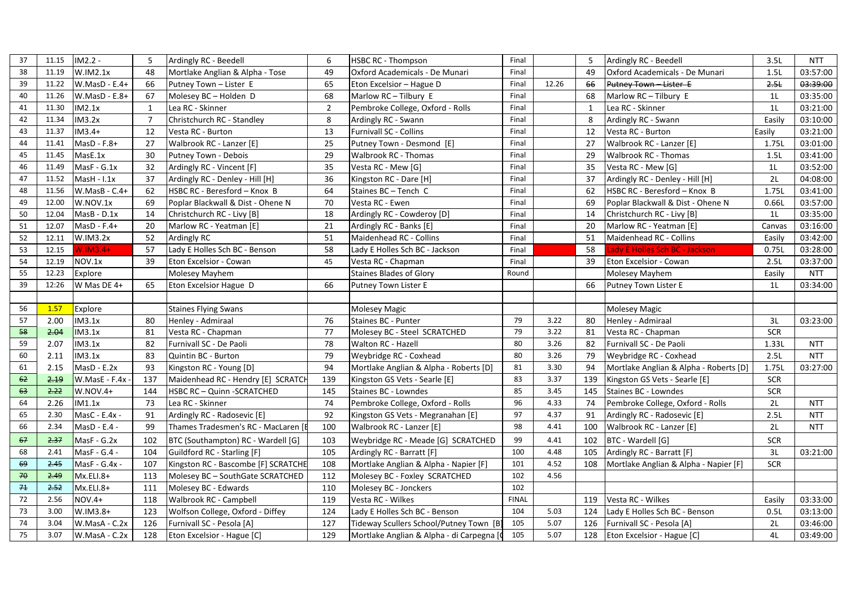| 37 | 11.15 | $IM2.2 -$      | -5           | Ardingly RC - Beedell               | 6              | <b>HSBC RC - Thompson</b>                  | Final        |       | 5            | Ardingly RC - Beedell                  | 3.5L             | <b>NTT</b> |
|----|-------|----------------|--------------|-------------------------------------|----------------|--------------------------------------------|--------------|-------|--------------|----------------------------------------|------------------|------------|
| 38 | 11.19 | W.IM2.1x       | 48           | Mortlake Anglian & Alpha - Tose     | 49             | Oxford Academicals - De Munari             | Final        |       | 49           | Oxford Academicals - De Munari         | 1.5L             | 03:57:00   |
| 39 | 11.22 | W.MasD - E.4+  | 66           | Putney Town - Lister E              | 65             | Eton Excelsior - Hague D                   | Final        | 12.26 | 66           | Putney Town - Lister E                 | 2.5 <sub>k</sub> | 03:39:00   |
| 40 | 11.26 | W.MasD - E.8+  | 67           | Molesey BC - Holden D               | 68             | Marlow RC - Tilbury E                      | Final        |       | 68           | Marlow RC-Tilbury E                    | 1 <sub>L</sub>   | 03:35:00   |
| 41 | 11.30 | IM2.1x         | $\mathbf{1}$ | Lea RC - Skinner                    | $\overline{2}$ | Pembroke College, Oxford - Rolls           | Final        |       | $\mathbf{1}$ | Lea RC - Skinner                       | 1 <sub>L</sub>   | 03:21:00   |
| 42 | 11.34 | IM3.2x         | 7            | Christchurch RC - Standley          | 8              | Ardingly RC - Swann                        | Final        |       | 8            | Ardingly RC - Swann                    | Easily           | 03:10:00   |
| 43 | 11.37 | $IM3.4+$       | 12           | Vesta RC - Burton                   | 13             | Furnivall SC - Collins                     | Final        |       | 12           | Vesta RC - Burton                      | Easily           | 03:21:00   |
| 44 | 11.41 | MasD - F.8+    | 27           | Walbrook RC - Lanzer [E]            | 25             | Putney Town - Desmond [E]                  | Final        |       | 27           | Walbrook RC - Lanzer [E]               | 1.75L            | 03:01:00   |
| 45 | 11.45 | MasE.1x        | 30           | Putney Town - Debois                | 29             | Walbrook RC - Thomas                       | Final        |       | 29           | Walbrook RC - Thomas                   | 1.5L             | 03:41:00   |
| 46 | 11.49 | MasF - G.1x    | 32           | Ardingly RC - Vincent [F]           | 35             | Vesta RC - Mew [G]                         | Final        |       | 35           | Vesta RC - Mew [G]                     | 1 <sub>L</sub>   | 03:52:00   |
| 47 | 11.52 | $Mask - L1x$   | 37           | Ardingly RC - Denley - Hill [H]     | 36             | Kingston RC - Dare [H]                     | Final        |       | 37           | Ardingly RC - Denley - Hill [H]        | 2L               | 04:08:00   |
| 48 | 11.56 | W.MasB - C.4+  | 62           | HSBC RC - Beresford - Knox B        | 64             | Staines BC - Tench C                       | Final        |       | 62           | HSBC RC - Beresford - Knox B           | 1.75L            | 03:41:00   |
| 49 | 12.00 | W.NOV.1x       | 69           | Poplar Blackwall & Dist - Ohene N   | 70             | Vesta RC - Ewen                            | Final        |       | 69           | Poplar Blackwall & Dist - Ohene N      | 0.66L            | 03:57:00   |
| 50 | 12.04 | MasB - D.1x    | 14           | Christchurch RC - Livy [B]          | 18             | Ardingly RC - Cowderoy [D]                 | Final        |       | 14           | Christchurch RC - Livy [B]             | 1 <sub>L</sub>   | 03:35:00   |
| 51 | 12.07 | MasD - F.4+    | 20           | Marlow RC - Yeatman [E]             | 21             | Ardingly RC - Banks [E]                    | Final        |       | 20           | Marlow RC - Yeatman [E]                | Canvas           | 03:16:00   |
| 52 | 12.11 | W.IM3.2x       | 52           | Ardingly RC                         | 51             | Maidenhead RC - Collins                    | Final        |       | 51           | Maidenhead RC - Collins                | Easily           | 03:42:00   |
| 53 | 12.15 | $N.IM3.4+$     | 57           | Lady E Holles Sch BC - Benson       | 58             | Lady E Holles Sch BC - Jackson             | Final        |       | 58           | ady E Holles Sch BC - Jackson          | 0.75L            | 03:28:00   |
| 54 | 12.19 | NOV.1x         | 39           | Eton Excelsior - Cowan              | 45             | Vesta RC - Chapman                         | Final        |       | 39           | Eton Excelsior - Cowan                 | 2.5L             | 03:37:00   |
| 55 | 12.23 | Explore        |              | Molesey Mayhem                      |                | <b>Staines Blades of Glory</b>             | Round        |       |              | Molesey Mayhem                         | Easily           | <b>NTT</b> |
| 39 | 12:26 | W Mas DE 4+    | 65           | Eton Excelsior Hague D              | 66             | Putney Town Lister E                       |              |       | 66           | Putney Town Lister E                   | 1 <sub>L</sub>   | 03:34:00   |
|    |       |                |              |                                     |                |                                            |              |       |              |                                        |                  |            |
| 56 | 1.57  | <b>Explore</b> |              | <b>Staines Flying Swans</b>         |                | Molesey Magic                              |              |       |              | <b>Molesey Magic</b>                   |                  |            |
| 57 | 2.00  | IM3.1x         | 80           | Henley - Admiraal                   | 76             | Staines BC - Punter                        | 79           | 3.22  | 80           | Henley - Admiraal                      | 3L               | 03:23:00   |
| 58 | 2.04  | IM3.1x         | 81           | Vesta RC - Chapman                  | 77             | Molesey BC - Steel SCRATCHED               | 79           | 3.22  | 81           | Vesta RC - Chapman                     | SCR              |            |
| 59 | 2.07  | IM3.1x         | 82           | Furnivall SC - De Paoli             | 78             | Walton RC - Hazell                         | 80           | 3.26  | 82           | Furnivall SC - De Paoli                | 1.33L            | <b>NTT</b> |
| 60 | 2.11  | IM3.1x         | 83           | Quintin BC - Burton                 | 79             | Weybridge RC - Coxhead                     | 80           | 3.26  | 79           | Weybridge RC - Coxhead                 | 2.5L             | <b>NTT</b> |
| 61 | 2.15  | MasD - E.2x    | 93           | Kingston RC - Young [D]             | 94             | Mortlake Anglian & Alpha - Roberts [D]     | 81           | 3.30  | 94           | Mortlake Anglian & Alpha - Roberts [D] | 1.75L            | 03:27:00   |
| 62 | 2.19  | W.MasE - F.4x  | 137          | Maidenhead RC - Hendry [E] SCRATCH  | 139            | Kingston GS Vets - Searle [E]              | 83           | 3.37  | 139          | Kingston GS Vets - Searle [E]          | <b>SCR</b>       |            |
| 63 | 2.22  | W.NOV.4+       | 144          | HSBC RC - Quinn - SCRATCHED         | 145            | Staines BC - Lowndes                       | 85           | 3.45  | 145          | Staines BC - Lowndes                   | <b>SCR</b>       |            |
| 64 | 2.26  | IM1.1x         | 73           | Lea RC - Skinner                    | 74             | Pembroke College, Oxford - Rolls           | 96           | 4.33  | 74           | Pembroke College, Oxford - Rolls       | 2L               | <b>NTT</b> |
| 65 | 2.30  | MasC - E.4x -  | 91           | Ardingly RC - Radosevic [E]         | 92             | Kingston GS Vets - Megranahan [E]          | 97           | 4.37  | 91           | Ardingly RC - Radosevic [E]            | 2.5L             | <b>NTT</b> |
| 66 | 2.34  | MasD - E.4 -   | 99           | Thames Tradesmen's RC - MacLaren [E | 100            | Walbrook RC - Lanzer [E]                   | 98           | 4.41  | 100          | Walbrook RC - Lanzer [E]               | 2L               | <b>NTT</b> |
| 67 | 2.37  | $MasF - G.2x$  | 102          | BTC (Southampton) RC - Wardell [G]  | 103            | Weybridge RC - Meade [G] SCRATCHED         | 99           | 4.41  | 102          | BTC - Wardell [G]                      | <b>SCR</b>       |            |
| 68 | 2.41  | MasF - G.4 -   | 104          | Guildford RC - Starling [F]         | 105            | Ardingly RC - Barratt [F]                  | 100          | 4.48  | 105          | Ardingly RC - Barratt [F]              | 3L               | 03:21:00   |
| 69 | 2.45  | MasF - G.4x -  | 107          | Kingston RC - Bascombe [F] SCRATCHE | 108            | Mortlake Anglian & Alpha - Napier [F]      | 101          | 4.52  | 108          | Mortlake Anglian & Alpha - Napier [F]  | <b>SCR</b>       |            |
| 70 | 2.49  | Mx.ELI.8+      | 113          | Molesey BC - SouthGate SCRATCHED    | 112            | Molesey BC - Foxley SCRATCHED              | 102          | 4.56  |              |                                        |                  |            |
| 74 | 2.52  | Mx.ELI.8+      | 111          | Molesey BC - Edwards                | 110            | Molesey BC - Jonckers                      | 102          |       |              |                                        |                  |            |
| 72 | 2.56  | NOV.4+         | 118          | Walbrook RC - Campbell              | 119            | Vesta RC - Wilkes                          | <b>FINAL</b> |       | 119          | Vesta RC - Wilkes                      | Easily           | 03:33:00   |
| 73 | 3.00  | W.IM3.8+       | 123          | Wolfson College, Oxford - Diffey    | 124            | Lady E Holles Sch BC - Benson              | 104          | 5.03  | 124          | Lady E Holles Sch BC - Benson          | 0.5L             | 03:13:00   |
| 74 | 3.04  | W.MasA - C.2x  | 126          | Furnivall SC - Pesola [A]           | 127            | Tideway Scullers School/Putney Town [B]    | 105          | 5.07  | 126          | Furnivall SC - Pesola [A]              | 2L               | 03:46:00   |
| 75 | 3.07  | W.MasA - C.2x  | 128          | Eton Excelsior - Hague [C]          | 129            | Mortlake Anglian & Alpha - di Carpegna [0] | 105          | 5.07  |              | 128 Eton Excelsior - Hague [C]         | 4L               | 03:49:00   |